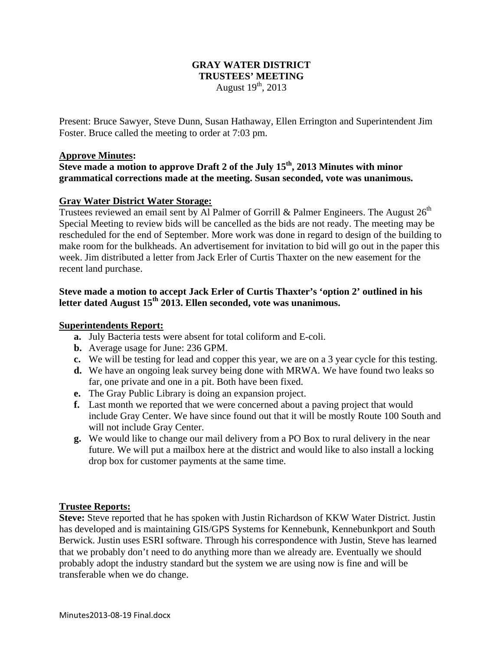# **GRAY WATER DISTRICT TRUSTEES' MEETING**  August  $19<sup>th</sup>$ , 2013

Present: Bruce Sawyer, Steve Dunn, Susan Hathaway, Ellen Errington and Superintendent Jim Foster. Bruce called the meeting to order at 7:03 pm.

#### **Approve Minutes:**

**Steve made a motion to approve Draft 2 of the July 15th, 2013 Minutes with minor grammatical corrections made at the meeting. Susan seconded, vote was unanimous.** 

## **Gray Water District Water Storage:**

Trustees reviewed an email sent by Al Palmer of Gorrill & Palmer Engineers. The August  $26<sup>th</sup>$ Special Meeting to review bids will be cancelled as the bids are not ready. The meeting may be rescheduled for the end of September. More work was done in regard to design of the building to make room for the bulkheads. An advertisement for invitation to bid will go out in the paper this week. Jim distributed a letter from Jack Erler of Curtis Thaxter on the new easement for the recent land purchase.

## **Steve made a motion to accept Jack Erler of Curtis Thaxter's 'option 2' outlined in his letter dated August 15th 2013. Ellen seconded, vote was unanimous.**

#### **Superintendents Report:**

- **a.** July Bacteria tests were absent for total coliform and E-coli.
- **b.** Average usage for June: 236 GPM.
- **c.** We will be testing for lead and copper this year, we are on a 3 year cycle for this testing.
- **d.** We have an ongoing leak survey being done with MRWA. We have found two leaks so far, one private and one in a pit. Both have been fixed.
- **e.** The Gray Public Library is doing an expansion project.
- **f.** Last month we reported that we were concerned about a paving project that would include Gray Center. We have since found out that it will be mostly Route 100 South and will not include Gray Center.
- **g.** We would like to change our mail delivery from a PO Box to rural delivery in the near future. We will put a mailbox here at the district and would like to also install a locking drop box for customer payments at the same time.

## **Trustee Reports:**

**Steve:** Steve reported that he has spoken with Justin Richardson of KKW Water District. Justin has developed and is maintaining GIS/GPS Systems for Kennebunk, Kennebunkport and South Berwick. Justin uses ESRI software. Through his correspondence with Justin, Steve has learned that we probably don't need to do anything more than we already are. Eventually we should probably adopt the industry standard but the system we are using now is fine and will be transferable when we do change.